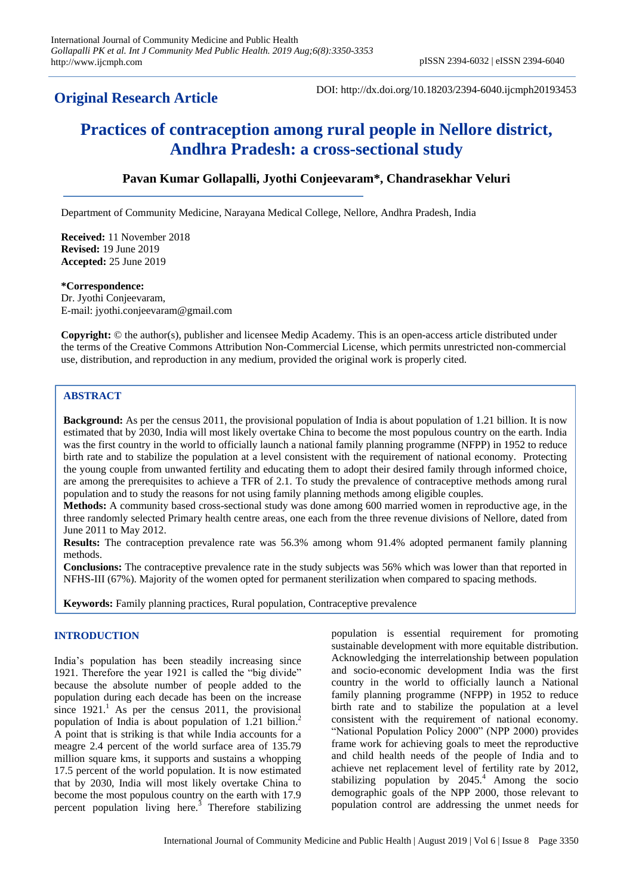# **Original Research Article**

DOI: http://dx.doi.org/10.18203/2394-6040.ijcmph20193453

# **Practices of contraception among rural people in Nellore district, Andhra Pradesh: a cross-sectional study**

## **Pavan Kumar Gollapalli, Jyothi Conjeevaram\*, Chandrasekhar Veluri**

Department of Community Medicine, Narayana Medical College, Nellore, Andhra Pradesh, India

**Received:** 11 November 2018 **Revised:** 19 June 2019 **Accepted:** 25 June 2019

#### **\*Correspondence:**

Dr. Jyothi Conjeevaram, E-mail: jyothi.conjeevaram@gmail.com

**Copyright:** © the author(s), publisher and licensee Medip Academy. This is an open-access article distributed under the terms of the Creative Commons Attribution Non-Commercial License, which permits unrestricted non-commercial use, distribution, and reproduction in any medium, provided the original work is properly cited.

#### **ABSTRACT**

**Background:** As per the census 2011, the provisional population of India is about population of 1.21 billion. It is now estimated that by 2030, India will most likely overtake China to become the most populous country on the earth. India was the first country in the world to officially launch a national family planning programme (NFPP) in 1952 to reduce birth rate and to stabilize the population at a level consistent with the requirement of national economy. Protecting the young couple from unwanted fertility and educating them to adopt their desired family through informed choice, are among the prerequisites to achieve a TFR of 2.1. To study the prevalence of contraceptive methods among rural population and to study the reasons for not using family planning methods among eligible couples.

**Methods:** A community based cross-sectional study was done among 600 married women in reproductive age, in the three randomly selected Primary health centre areas, one each from the three revenue divisions of Nellore, dated from June 2011 to May 2012.

**Results:** The contraception prevalence rate was 56.3% among whom 91.4% adopted permanent family planning methods.

**Conclusions:** The contraceptive prevalence rate in the study subjects was 56% which was lower than that reported in NFHS-III (67%). Majority of the women opted for permanent sterilization when compared to spacing methods.

**Keywords:** Family planning practices, Rural population, Contraceptive prevalence

#### **INTRODUCTION**

India's population has been steadily increasing since 1921. Therefore the year 1921 is called the "big divide" because the absolute number of people added to the population during each decade has been on the increase since  $1921<sup>1</sup>$  As per the census 2011, the provisional population of India is about population of 1.21 billion. 2 A point that is striking is that while India accounts for a meagre 2.4 percent of the world surface area of 135.79 million square kms, it supports and sustains a whopping 17.5 percent of the world population. It is now estimated that by 2030, India will most likely overtake China to become the most populous country on the earth with 17.9 percent population living here.<sup>3</sup> Therefore stabilizing population is essential requirement for promoting sustainable development with more equitable distribution. Acknowledging the interrelationship between population and socio-economic development India was the first country in the world to officially launch a National family planning programme (NFPP) in 1952 to reduce birth rate and to stabilize the population at a level consistent with the requirement of national economy. "National Population Policy 2000" (NPP 2000) provides frame work for achieving goals to meet the reproductive and child health needs of the people of India and to achieve net replacement level of fertility rate by 2012, stabilizing population by  $2045<sup>4</sup>$  Among the socio demographic goals of the NPP 2000, those relevant to population control are addressing the unmet needs for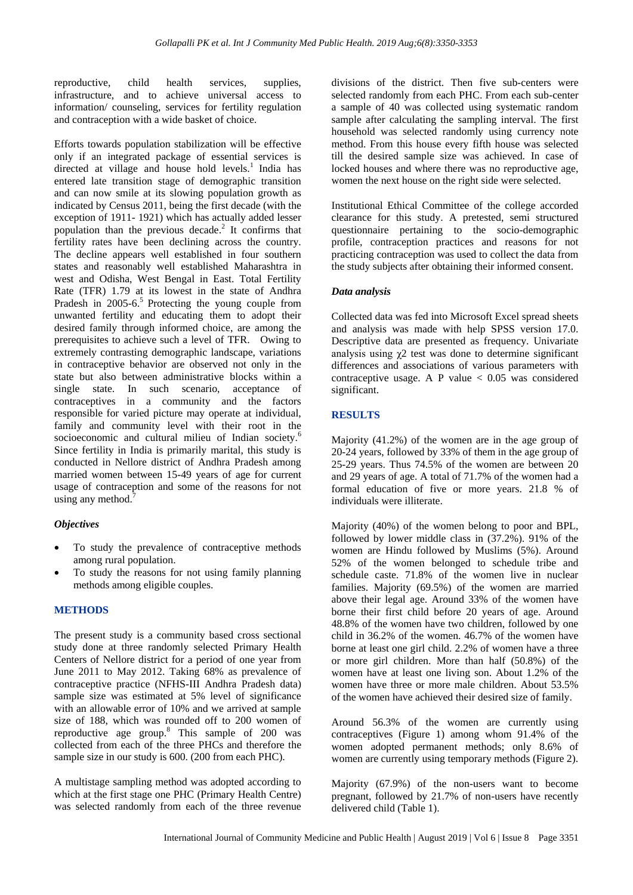reproductive, child health services, supplies, infrastructure, and to achieve universal access to information/ counseling, services for fertility regulation and contraception with a wide basket of choice.

Efforts towards population stabilization will be effective only if an integrated package of essential services is directed at village and house hold levels.<sup>1</sup> India has entered late transition stage of demographic transition and can now smile at its slowing population growth as indicated by Census 2011, being the first decade (with the exception of 1911- 1921) which has actually added lesser population than the previous decade. 2 It confirms that fertility rates have been declining across the country. The decline appears well established in four southern states and reasonably well established Maharashtra in west and Odisha, West Bengal in East. Total Fertility Rate (TFR) 1.79 at its lowest in the state of Andhra Pradesh in  $2005-6.5$  Protecting the young couple from unwanted fertility and educating them to adopt their desired family through informed choice, are among the prerequisites to achieve such a level of TFR. Owing to extremely contrasting demographic landscape, variations in contraceptive behavior are observed not only in the state but also between administrative blocks within a single state. In such scenario, acceptance of contraceptives in a community and the factors responsible for varied picture may operate at individual, family and community level with their root in the socioeconomic and cultural milieu of Indian society.<sup>6</sup> Since fertility in India is primarily marital, this study is conducted in Nellore district of Andhra Pradesh among married women between 15-49 years of age for current usage of contraception and some of the reasons for not using any method. $\frac{7}{1}$ 

#### *Objectives*

- To study the prevalence of contraceptive methods among rural population.
- To study the reasons for not using family planning methods among eligible couples.

### **METHODS**

The present study is a community based cross sectional study done at three randomly selected Primary Health Centers of Nellore district for a period of one year from June 2011 to May 2012. Taking 68% as prevalence of contraceptive practice (NFHS-III Andhra Pradesh data) sample size was estimated at 5% level of significance with an allowable error of 10% and we arrived at sample size of 188, which was rounded off to 200 women of reproductive age group.<sup>8</sup> This sample of 200 was collected from each of the three PHCs and therefore the sample size in our study is 600. (200 from each PHC).

A multistage sampling method was adopted according to which at the first stage one PHC (Primary Health Centre) was selected randomly from each of the three revenue divisions of the district. Then five sub-centers were selected randomly from each PHC. From each sub-center a sample of 40 was collected using systematic random sample after calculating the sampling interval. The first household was selected randomly using currency note method. From this house every fifth house was selected till the desired sample size was achieved. In case of locked houses and where there was no reproductive age, women the next house on the right side were selected.

Institutional Ethical Committee of the college accorded clearance for this study. A pretested, semi structured questionnaire pertaining to the socio-demographic profile, contraception practices and reasons for not practicing contraception was used to collect the data from the study subjects after obtaining their informed consent.

#### *Data analysis*

Collected data was fed into Microsoft Excel spread sheets and analysis was made with help SPSS version 17.0. Descriptive data are presented as frequency. Univariate analysis using  $\chi$ 2 test was done to determine significant differences and associations of various parameters with contraceptive usage. A P value  $< 0.05$  was considered significant.

#### **RESULTS**

Majority (41.2%) of the women are in the age group of 20-24 years, followed by 33% of them in the age group of 25-29 years. Thus 74.5% of the women are between 20 and 29 years of age. A total of 71.7% of the women had a formal education of five or more years. 21.8 % of individuals were illiterate.

Majority (40%) of the women belong to poor and BPL, followed by lower middle class in (37.2%). 91% of the women are Hindu followed by Muslims (5%). Around 52% of the women belonged to schedule tribe and schedule caste. 71.8% of the women live in nuclear families. Majority (69.5%) of the women are married above their legal age. Around 33% of the women have borne their first child before 20 years of age. Around 48.8% of the women have two children, followed by one child in 36.2% of the women. 46.7% of the women have borne at least one girl child. 2.2% of women have a three or more girl children. More than half (50.8%) of the women have at least one living son. About 1.2% of the women have three or more male children. About 53.5% of the women have achieved their desired size of family.

Around 56.3% of the women are currently using contraceptives (Figure 1) among whom 91.4% of the women adopted permanent methods; only 8.6% of women are currently using temporary methods (Figure 2).

Majority (67.9%) of the non-users want to become pregnant, followed by 21.7% of non-users have recently delivered child (Table 1).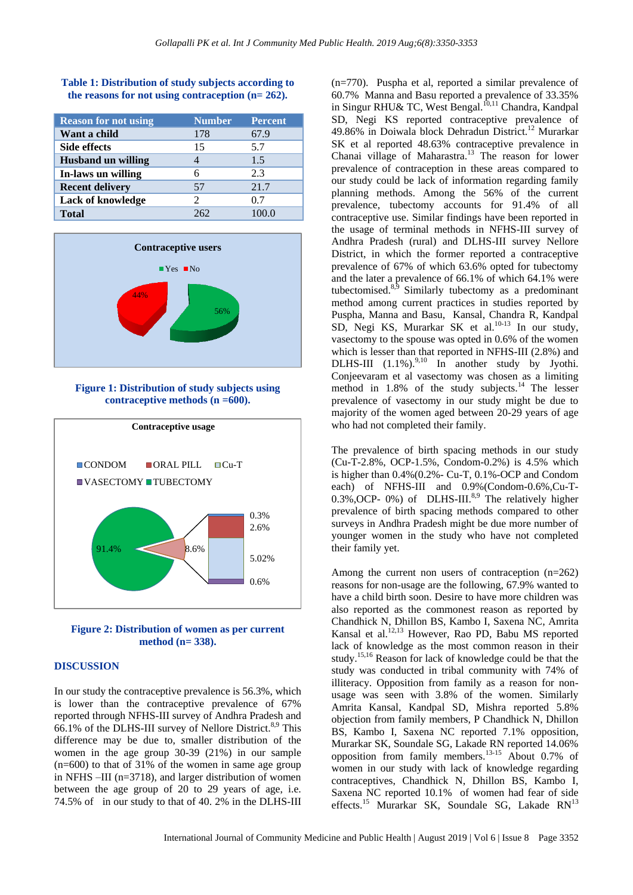| <b>Reason for not using</b> | <b>Number</b> | <b>Percent</b> |
|-----------------------------|---------------|----------------|
| Want a child                | 178           | 67.9           |
| <b>Side effects</b>         | 15            | 5.7            |
| <b>Husband un willing</b>   |               | 1.5            |
| In-laws un willing          | 6             | 2.3            |
| <b>Recent delivery</b>      | 57            | 21.7           |
| <b>Lack of knowledge</b>    |               | 0.7            |
| <b>Total</b>                | 262           | 100.0          |

**Table 1: Distribution of study subjects according to the reasons for not using contraception (n= 262).**



**Figure 1: Distribution of study subjects using contraceptive methods (n =600).**



**Figure 2: Distribution of women as per current method (n= 338).**

#### **DISCUSSION**

In our study the contraceptive prevalence is 56.3%, which is lower than the contraceptive prevalence of 67% reported through NFHS-III survey of Andhra Pradesh and 66.1% of the DLHS-III survey of Nellore District.<sup>8,9</sup> This difference may be due to, smaller distribution of the women in the age group 30-39 (21%) in our sample (n=600) to that of 31% of the women in same age group in NFHS –III (n=3718), and larger distribution of women between the age group of 20 to 29 years of age, i.e. 74.5% of in our study to that of 40. 2% in the DLHS-III (n=770). Puspha et al, reported a similar prevalence of 60.7% Manna and Basu reported a prevalence of 33.35% in Singur RHU& TC, West Bengal.<sup>10,11</sup> Chandra, Kandpal SD, Negi KS reported contraceptive prevalence of 49.86% in Doiwala block Dehradun District.<sup>12</sup> Murarkar SK et al reported 48.63% contraceptive prevalence in Chanai village of Maharastra.<sup>13</sup> The reason for lower prevalence of contraception in these areas compared to our study could be lack of information regarding family planning methods. Among the 56% of the current prevalence, tubectomy accounts for 91.4% of all contraceptive use. Similar findings have been reported in the usage of terminal methods in NFHS-III survey of Andhra Pradesh (rural) and DLHS-III survey Nellore District, in which the former reported a contraceptive prevalence of 67% of which 63.6% opted for tubectomy and the later a prevalence of 66.1% of which 64.1% were tubectomised.8,9 Similarly tubectomy as a predominant method among current practices in studies reported by Puspha, Manna and Basu, Kansal, Chandra R, Kandpal SD, Negi KS, Murarkar SK et al.<sup>10-13</sup> In our study, vasectomy to the spouse was opted in 0.6% of the women which is lesser than that reported in NFHS-III (2.8%) and DLHS-III  $(1.1\%)^{9,10}$  In another study by Jyothi. Conjeevaram et al vasectomy was chosen as a limiting method in  $1.8\%$  of the study subjects.<sup>14</sup> The lesser prevalence of vasectomy in our study might be due to majority of the women aged between 20-29 years of age who had not completed their family.

The prevalence of birth spacing methods in our study (Cu-T-2.8%, OCP-1.5%, Condom-0.2%) is 4.5% which is higher than 0.4%(0.2%- Cu-T, 0.1%-OCP and Condom each) of NFHS-III and 0.9%(Condom-0.6%,Cu-T- $0.3\%$ , OCP- 0%) of DLHS-III.<sup>8,9</sup> The relatively higher prevalence of birth spacing methods compared to other surveys in Andhra Pradesh might be due more number of younger women in the study who have not completed their family yet.

Among the current non users of contraception (n=262) reasons for non-usage are the following, 67.9% wanted to have a child birth soon. Desire to have more children was also reported as the commonest reason as reported by Chandhick N, Dhillon BS, Kambo I, Saxena NC, Amrita Kansal et al.<sup>12,13</sup> However, Rao PD, Babu MS reported lack of knowledge as the most common reason in their study.15,16 Reason for lack of knowledge could be that the study was conducted in tribal community with 74% of illiteracy. Opposition from family as a reason for nonusage was seen with 3.8% of the women. Similarly Amrita Kansal, Kandpal SD, Mishra reported 5.8% objection from family members, P Chandhick N, Dhillon BS, Kambo I, Saxena NC reported 7.1% opposition, Murarkar SK, Soundale SG, Lakade RN reported 14.06% opposition from family members.13-15 About 0.7% of women in our study with lack of knowledge regarding contraceptives, Chandhick N, Dhillon BS, Kambo I, Saxena NC reported 10.1% of women had fear of side effects.<sup>15</sup> Murarkar SK, Soundale SG, Lakade RN<sup>13</sup>